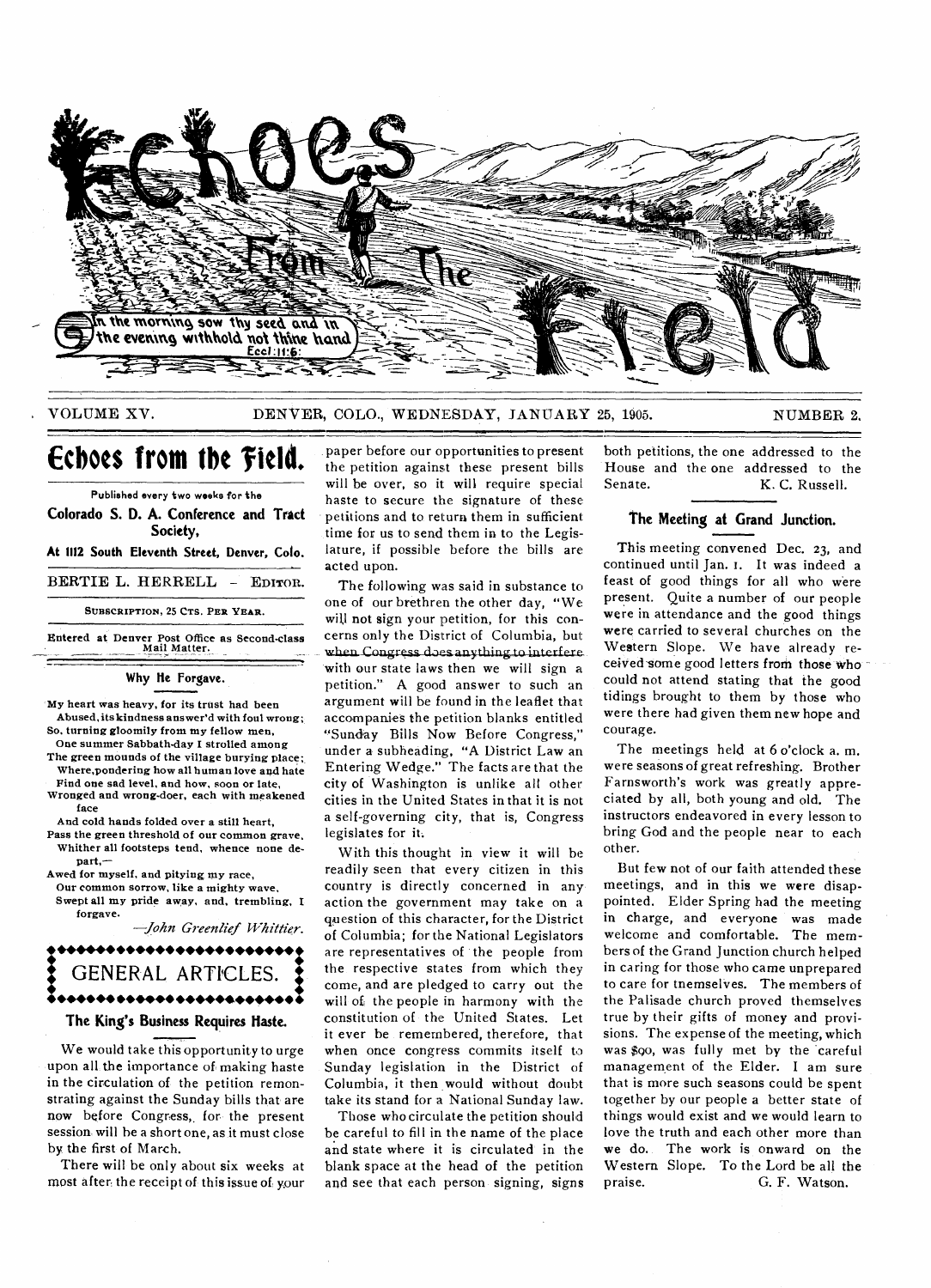

## **VOLUME XV.** DENVER, COLO., WEDNESDAY, JANUARY 25, 1905. NUMBER 2.

# **Echoes from the field.**

**Published every two weeks for the** 

**Colorado S. D. A. Conference and Tract Society,** 

**At 1112 South Eleventh Street, Denver, Colo.** 

**BERTIE L. HERRELL — EDITOR.** 

**SUBSCRIPTION, 25 CTS. PER YEAR.** 

**Entered at Denver Post Office as Second-class Mail Matter.** 

## **Why tie Forgave.**

**My heart was heavy, for its trust had been Abused, its kindness answer'd with foul wrong; So. turning gloomily from my fellow men,** 

- **One summer Sabbath-day I strolled among The green mounds of the village burying place; Where,pondering how all human love and hate**
- **Find one sad level, and how, soon or late, Wronged and wrong-doer, each with awakened face**

**And cold hands folded over a still heart,** 

**Pass the green threshold of our common grave, Whither all footsteps tend, whence none depart,—** 

**Awed for myself, and pitying my race,** 

**Our common sorrow, like a mighty wave, Swept all my pride away, and, trembling, I forgave.** 

*—John Greenlief Whittier.* 



# **The King's Business Requires Haste.**

**We would take this opportunity to urge upon all the importance of making haste in the circulation of the petition remonstrating against the Sunday bills that are now before Congress,, for the present session will he a short one, as it must close by the first of March.** 

**There will be only about six weeks at**  most after the receipt of this issue of your

paper before our opportunities to present the petition against these present bills will be over, so it will require special haste to secure the signature of these petitions and to return them in sufficient: time for us to send them in to the Legislature, if possible before the bills are acted upon.

The following was said in substance to one of our brethren the other day, "We will not sign your petition, for this concerns only the District of Columbia, but when Congress does anything to interfere with our state laws then we will sign a petition." A good answer to such an argument will be found in the leaflet that accompanies the petition blanks entitled "Sunday Bills Now Before Congress," under a subheading, "A District Law an Entering Wedge." The facts are that the city of Washington is unlike all other cities in the United States in that it is not a self-governing city, that is, Congress legislates for it.

With this thought in view it will be readily seen that every citizen in this country is directly concerned in any action the government may take on a question of this character, for the District of Columbia; for the National Legislators are representatives of the people from the respective states from which they come, and are pledged to carry out the will of the people in harmony with the constitution of the United States. Let it ever he remembered, therefore, that when once congress commits itself to Sunday legislation in the District of Columbia, it then would without doubt take its stand for a National Sunday law.

Those who circulate the petition should be careful to fill in the name of the place **and** state where it is circulated in the blank space at the head of the petition **and** see that each person signing, signs both petitions, the one addressed to the House and the one addressed to the<br>Senate. **K.C. Russell** K. C. Russell.

## **The Meeting at Grand Junction.**

This meeting convened Dec. 23, and continued until Jan. 1. It was indeed a feast of good things for all who were present. Quite a number of our people were in attendance and the good things were carried to several churches on the Western Slope. We have already received some good letters from those who could not attend stating that the good tidings brought to them by those who were there had given them new hope and courage.

The meetings held at 6 o'clock a, m. were seasons of great refreshing. Brother Farnsworth's work was greatly appreciated by all, both young and old. The instructors endeavored in every lesson to bring God and the people near to each other.

But few not of our faith attended these meetings, and in this we were disappointed. Elder Spring had the meeting in charge, and everyone was made welcome and comfortable. The members of the Grand Junction church helped in caring for those who came unprepared to care for tnemselves. The members of the Palisade church proved themselves true by their gifts of money and provisions. The expense of the meeting, which was \$go, was **fully** met by the careful management of the Elder. I am sure that is more such seasons could be spent together by our people a better state of things would exist and we would learn to love the truth and each other more than **we** do. The work is onward on the Western Slope. To the Lord be all the praise.  $G_F$  Watson. G. F. Watson.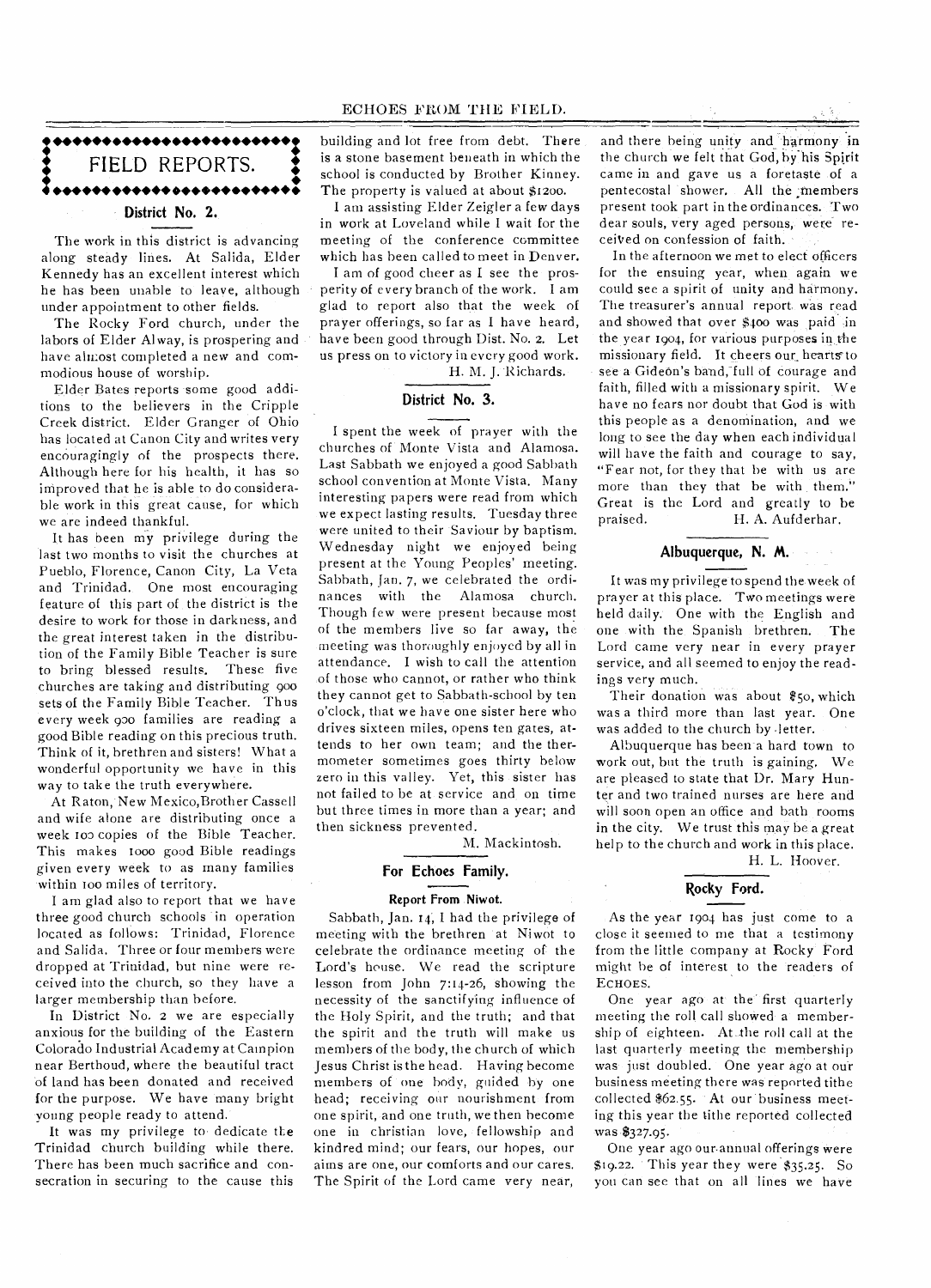# 1••••••••••••••••••••••••: FIELD REPORTS. **District No. 2.**

The work in this district is advancing along steady lines. At Salida, Elder Kennedy has an excellent interest which he has been unable to leave, although under appointment to other fields.

The Rocky Ford church, under the labors of Elder Alway, is prospering and have alu:ost completed a new and commodious house of worship.

Elder Bates reports some good additions to the believers in the Cripple Creek district. Elder Granger of Ohio has located at Canon City and writes very encouragingly of the prospects there. Although here for his health, it has so improved that he is able to do considerable work in this great cause, for which we are indeed thankful.

It has been my privilege during the last two months to visit the churches at Pueblo, Florence, Canon City, La Veta and Trinidad. One most encouraging feature of this part of the district is the desire to work for those in darkness, and the great interest taken in the distribution of the Family Bible Teacher is sure to bring blessed results. These five churches are taking and distributing goo sets of the Family Bible Teacher. Thus every week goo families are reading a good Bible reading on this precious truth. Think of it, brethren and sisters! What a wonderful opportunity we have in this way to take the truth everywhere.

At Raton, New Mexico,Brother Cassell and wife alone are distributing once a week too copies of the Bible Teacher. This makes 1000 good Bible readings given every week to as many families within too miles of territory.

I am glad also to report that we have three good church schools in operation located as follows: Trinidad, Florence and Salida. Three or four members were dropped at Trinidad, but nine were received into the church, so they have a larger membership than before.

In District No. 2 we are especially anxious for the building of the Eastern Colorado Industrial Academy at Campion near Berthoud, where the beautiful tract of land has been donated and received for the purpose. We have many bright young people ready to attend.

It was my privilege to dedicate the Trinidad church building while there. There has been much sacrifice and consecration in securing to the cause this building and lot free from debt. There is a stone basement beneath in which the school is conducted by Brother Kinney. The property is valued at about \$1200.

I am assisting Elder Zeigler a few days in work at Loveland while I wait for the meeting of the conference committee which has been called to meet in Denver.

I am of good cheer as I see the prosperity of every branch of the work. I am glad to report also that the week of prayer offerings, so far as I have heard, have been good through Dist. No. 2. Let us press on to victory in every good work.

H. M. J. Richards.

## **District No. 3.**

I spent the week of prayer with the churches of Monte Vista and Alamosa. Last Sabbath we enjoyed a good Sabbath school convention at Monte Vista. Many interesting papers were read from which we expect lasting results. Tuesday three were united to their Saviour by baptism. Wednesday night we enjoyed being present at the Young Peoples' meeting. Sabbath, fan. 7, we celebrated the ordinances with the Alamosa church. Though few were present because most of the members live so far away, the meeting was thoroughly enjoyed by all in attendance. **I** wish to call the attention of those who cannot, or rather who think they cannot get to Sabbath-school by ten o'clock, that we have one sister here who drives sixteen miles, opens ten gates, attends to her own team; and the thermometer sometimes goes thirty below zero in this valley. Yet, this sister has not failed to be at service and on time but three times in more than a year; and then sickness prevented.

M. Mackintosh.

## **For Echoes Family.**

## **Report From Niwot.**

Sabbath, Jan. 14, I had the privilege of meeting with the brethren at Niwot to celebrate the ordinance meeting of the Lord's house. We read the scripture lesson from John 7:14-26, showing the necessity of the sanctifying influence of the Holy Spirit, and the truth; and that the spirit and the truth will make us members of the body, the church of which Jesus Christ is the head. Having become members of one body, guided by one head; receiving our nourishment from one spirit, and one truth, we then become one in christian love, fellowship and kindred mind; our fears, our hopes, our aims are one, our comforts and our cares. The Spirit of the Lord came very near,

and there being unity and harmony in the church we felt that God, by his Spirit came in and gave us a foretaste of a pentecostal shower. All the members present took part in the ordinances. Two dear souls, very aged persons, were receiVed on confession of faith.

In the afternoon we met to elect officers for the ensuing year, when again we could see a spirit of unity and harmony. The treasurer's annual report. was read and showed that over \$400 was paid in the year 1904, for various purposes in the missionary field. It cheers our hearts to see a Gideon's band, full of courage and faith, filled with a missionary spirit. We have no fears nor doubt that God is with this people as a denomination, and we long to see the day when each individual will have the faith and courage to say, "Fear not, for they that be with us are more than they that be with them." Great is the Lord and greatly to be<br>praised. H. A. Aufderhar. H. A. Aufderhar.

# **Albuquerque, N. M.**

It was my privilege to spend the week of prayer at this place. Two meetings were held daily. One with the English and one with the Spanish brethren. The Lord came very near in every prayer service, and all seemed to enjoy the readings very much.

Their donation was about \$5o, which was a third more than last year. One was added to the church by -letter.

Albuquerque has been a hard town to work out, but the truth is gaining, We are pleased to state that Dr. Mary Hunter and two trained nurses are here and will soon open an office and bath rooms in the city. We trust this may be a great help to the church and work in this place.

H. L. Hoover.

# **Rocky Ford.**

As the year 1904 has just come to a close it seemed to me that a testimony from the little company at Rocky Ford might be of interest to the readers of ECHOES.

One year ago at the first quarterly meeting the roll call showed a membership of eighteen. At.the roll call at the last quarterly meeting the membership was just doubled. One year ago at our business meeting there was reported tithe collected \$62.55. At our business meeting this year the tithe reported collected was \$327.95.

One year ago ourannual offerings were \$19.22. This year they were \$35.25. So you can see that on all lines we have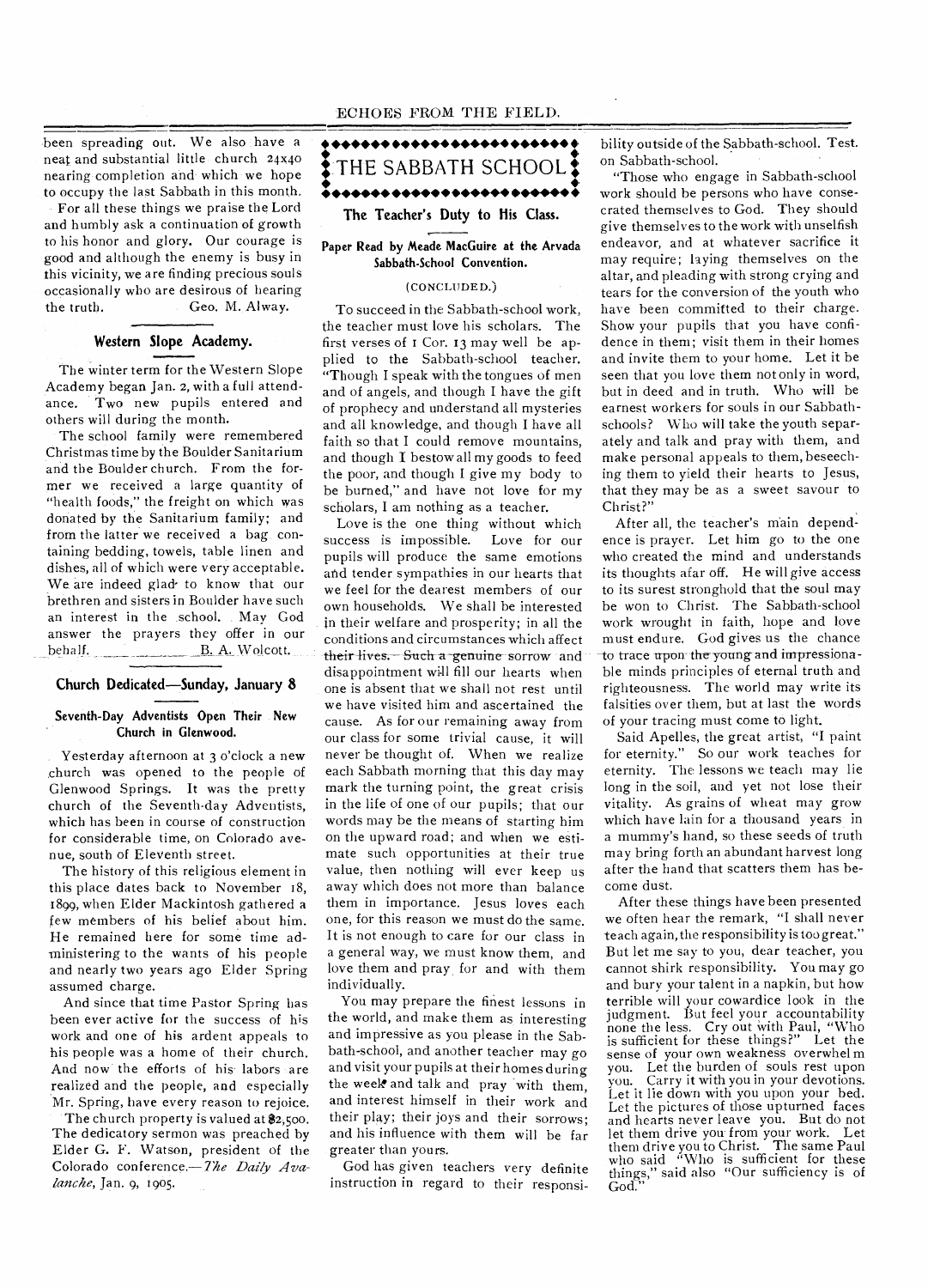been spreading out. We also have a neat and substantial little church 24x40 nearing completion and which we hope to occupy the last Sabbath in this month.

For all these things we praise the Lord and humbly ask a continuation of growth to his honor and glory. Our courage is good and although the enemy is busy in this vicinity, we are finding precious souls occasionally who are desirous of hearing the truth. Geo. M. Alway.

# **Western Slope Academy.**

The winter term for the Western Slope Academy began Jan. 2, with a full attendance. Two new pupils entered and others will during the month.

The school family were remembered Christmas time by the Boulder Sanitarium and the Boulder church. From the former we received a large quantity of "health foods," the freight on which was donated by the Sanitarium family; and from the latter we received a bag containing bedding, towels, table linen and dishes, all of which were very acceptable. We are indeed glad- to know that our brethren and sisters in Boulder have such an interest in the school. May God answer the prayers they offer in our behalf. B. A. Wolcott.

### **Church Dedicated—Sunday, January 8**

#### **Seventh-Day Adventists Open Their New Church in Glenwood.**

Yesterday afternoon at 3 o'clock a new church was opened to the people of Glenwood Springs. It was the pretty church of the Seventh-day Adventists, which has been in course of construction for considerable time, on Colorado avenue, south of Eleventh street.

The history of this religious element in this place dates back to November 18, 1899, when Elder Mackintosh gathered a few members of his belief about him. He remained here for some time administering to the wants of his people and nearly two years ago Elder Spring assumed charge.

And since that time Pastor Spring has been ever active for the success of his work and one of his ardent appeals to his people was a home of their church. And now the efforts of his labors are realized and the people, and especially Mr. Spring, have every reason to rejoice.

The church property is valued at  $2,500$ . The dedicatory sermon was preached by Elder G. F. Watson, president of the Colorado conference.— *7he Daily Avalanche,* Jan. 9, 1905.



### **Paper Read by Meade MacGuire at the Arvada Sabbath-School Convention.**

## (CONCLUDED.)

To succeed in the Sabbath-school work, the teacher must love his scholars. The first verses of r Cor. 13 may well be applied to the Sabbath-school teacher. "Though I speak with the tongues of men and of angels, and though I have the gift of prophecy and understand all mysteries and all knowledge, and though I have all faith so that I could remove mountains, and though I bestow all my goods to feed the poor, and though I give my body to be burned," and have not love for my scholars, I am nothing as a teacher.

Love is the one thing without which success is impossible. Love for our pupils will produce the same emotions and tender sympathies in our hearts that we feel for the dearest members of our own households. We shall be interested in their welfare and prosperity; in all the conditions and circumstances which affect their lives. Such a genuine sorrow and disappointment will fill our hearts when one is absent that we shall not rest until we have visited him and ascertained the cause. As for our remaining away from our class for some trivial cause, it will never be thought of. When we realize each Sabbath morning that this day may mark the turning point, the great crisis in the life of one of our pupils; that our words may be the means of starting him on the upward road; and when we estimate such opportunities at their true value, then nothing will ever keep us away which does not more than balance them in importance. Jesus loves each one, for this reason we must do the same. It is not enough to care for our class in a general way, we must know them, and love them and pray for and with them individually.

You may prepare the finest lessons in the world, and make them as interesting and impressive as you please in the Sabbath-school, and another teacher may go and visit your pupils at their homes during the week and talk and pray with them, and interest himself in their work and their play; their joys and their sorrows; and his influence with them will be far greater than yours.

God has given teachers very definite instruction in regard to their responsibility outside of the Sabbath-school. Test. on Sabbath-school.

"Those who engage in Sabbath-school work should be persons who have consecrated themselves to God. They should give themselves to the work with unselfish endeavor, and at whatever sacrifice it may require; laying themselves on the altar, and pleading with strong crying and tears for the conversion of the youth who have been committed to their charge. Show your pupils that you have confidence in them; visit them in their homes and invite them to your home. Let it be seen that you love them not only in word, but in deed and in truth. Who will be earnest workers for souls in our Sabbathschools? Who will take the youth separately and talk and pray with them, and make personal appeals to them, beseeching them to yield their hearts to Jesus, that they may be as a sweet savour to Christ?"

After all, the teacher's main dependence is prayer. Let him go to the one who created the mind and understands its thoughts afar off. He will give access to its surest stronghold that the soul may be won to Christ. The Sabbath-school work wrought in faith, hope and love must endure. God gives us the chance to trace upon the young and impressionable minds principles of eternal truth and righteousness. The world may write its falsities over them, but at last the words of your tracing must come to light.

Said Apelles, the great artist, "I paint for eternity." So our work teaches for eternity. The lessons we teach may lie long in the soil, and yet not lose their vitality. As grains of wheat may grow which have lain for a thousand years in a mummy's hand, so these seeds of truth may bring forth an abundant harvest long after the hand that scatters them has become dust.

After these things have been presented we often hear the remark, "I shall never teach again, the responsibility is too great." But let me say to you, dear teacher, you cannot shirk responsibility. You may go and bury your talent in a napkin, but how terrible will your cowardice look in the judgment. But feel your accountability none the less. Cry out with Paul, "Who is sufficient for these things?" Let the sense of your own weakness overwhel m you. Let the burden of souls rest upon you. Carry it with you in your devotions. Let it lie down with you upon your bed. Let the pictures of those upturned faces and hearts never leave you. But do not let them drive you.from your work. Let them drive you to Christ. The same Paul who said "Who is sufficient for these things," said also "Our sufficiency is of God."